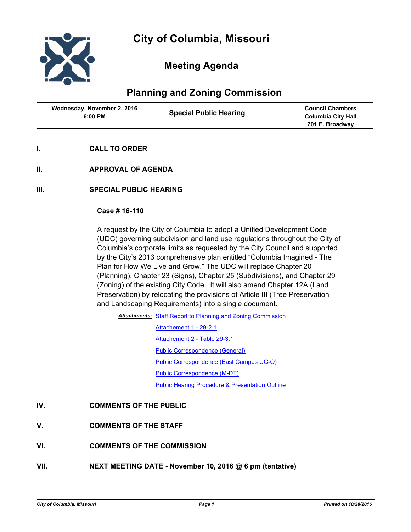

# **Meeting Agenda**

## **Planning and Zoning Commission**

| Wednesday, November 2, 2016<br>$6:00$ PM | <b>Special Public Hearing</b> | <b>Council Chambers</b><br><b>Columbia City Hall</b><br>701 E. Broadway |
|------------------------------------------|-------------------------------|-------------------------------------------------------------------------|
|------------------------------------------|-------------------------------|-------------------------------------------------------------------------|

- **I. CALL TO ORDER**
- **II. APPROVAL OF AGENDA**
- **III. SPECIAL PUBLIC HEARING**

#### **Case # 16-110**

A request by the City of Columbia to adopt a Unified Development Code (UDC) governing subdivision and land use regulations throughout the City of Columbia's corporate limits as requested by the City Council and supported by the City's 2013 comprehensive plan entitled "Columbia Imagined - The Plan for How We Live and Grow." The UDC will replace Chapter 20 (Planning), Chapter 23 (Signs), Chapter 25 (Subdivisions), and Chapter 29 (Zoning) of the existing City Code. It will also amend Chapter 12A (Land Preservation) by relocating the provisions of Article III (Tree Preservation and Landscaping Requirements) into a single document.

Attachments: [Staff Report to Planning and Zoning Commission](http://gocolumbiamo.legistar.com/gateway.aspx?M=F&ID=142ea5ac-42a7-41b9-95d9-7d6fdba12d01.doc)

[Attachement 1 - 29-2.1](http://gocolumbiamo.legistar.com/gateway.aspx?M=F&ID=41bc09a9-2b77-4ccf-9dd0-429df95e6f16.pdf) [Attachement 2 - Table 29-3.1](http://gocolumbiamo.legistar.com/gateway.aspx?M=F&ID=0910b813-ef65-42d8-83f6-558e399e083e.pdf) [Public Correspondence \(General\)](http://gocolumbiamo.legistar.com/gateway.aspx?M=F&ID=eca6c09e-5cce-4b6c-aa0e-b9c27ef598d7.pdf) [Public Correspondence \(East Campus UC-O\)](http://gocolumbiamo.legistar.com/gateway.aspx?M=F&ID=7603da1c-a7c3-4a6a-afe5-a7eeebae7cd6.pdf) [Public Correspondence \(M-DT\)](http://gocolumbiamo.legistar.com/gateway.aspx?M=F&ID=584a5b0e-67d2-41eb-b101-f434af95196c.pdf) [Public Hearing Procedure & Presentation Outline](http://gocolumbiamo.legistar.com/gateway.aspx?M=F&ID=724a2231-efed-4964-baae-09b4072dc412.docx)

### **IV. COMMENTS OF THE PUBLIC**

- **V. COMMENTS OF THE STAFF**
- **VI. COMMENTS OF THE COMMISSION**
- **VII. NEXT MEETING DATE November 10, 2016 @ 6 pm (tentative)**